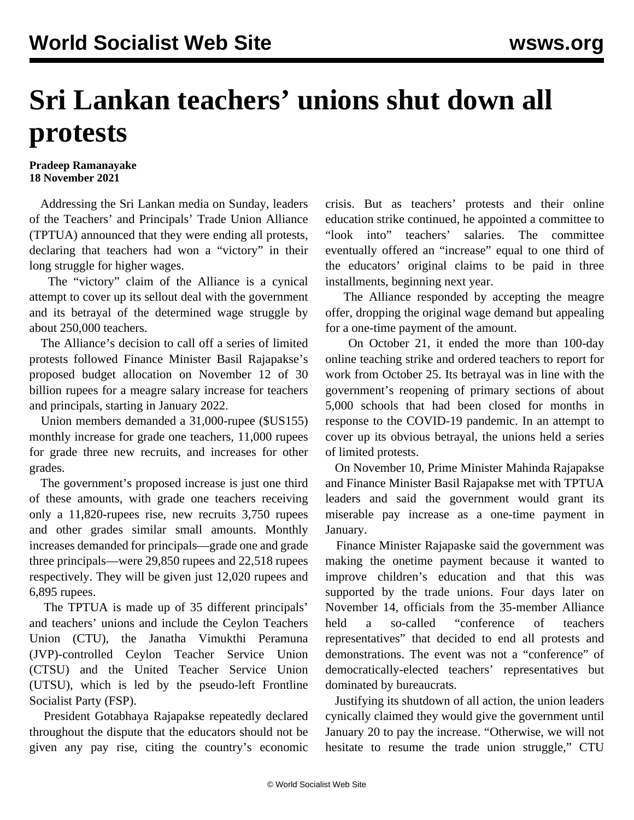## **Sri Lankan teachers' unions shut down all protests**

**Pradeep Ramanayake 18 November 2021**

 Addressing the Sri Lankan media on Sunday, leaders of the Teachers' and Principals' Trade Union Alliance (TPTUA) announced that they were ending all protests, declaring that teachers had won a "victory" in their long struggle for higher wages.

 The "victory" claim of the Alliance is a cynical attempt to cover up its sellout deal with the government and its betrayal of the determined wage struggle by about 250,000 teachers.

 The Alliance's decision to call off a series of limited protests followed Finance Minister Basil Rajapakse's proposed budget allocation on November 12 of 30 billion rupees for a meagre salary increase for teachers and principals, starting in January 2022.

 Union members demanded a 31,000-rupee (\$US155) monthly increase for grade one teachers, 11,000 rupees for grade three new recruits, and increases for other grades.

 The government's proposed increase is just one third of these amounts, with grade one teachers receiving only a 11,820-rupees rise, new recruits 3,750 rupees and other grades similar small amounts. Monthly increases demanded for principals—grade one and grade three principals—were 29,850 rupees and 22,518 rupees respectively. They will be given just 12,020 rupees and 6,895 rupees.

 The TPTUA is made up of 35 different principals' and teachers' unions and include the Ceylon Teachers Union (CTU), the Janatha Vimukthi Peramuna (JVP)-controlled Ceylon Teacher Service Union (CTSU) and the United Teacher Service Union (UTSU), which is led by the pseudo-left Frontline Socialist Party (FSP).

 President Gotabhaya Rajapakse repeatedly declared throughout the dispute that the educators should not be given any pay rise, citing the country's economic crisis. But as teachers' protests and their online education strike continued, he appointed a committee to "look into" teachers' salaries. The committee eventually offered an "increase" equal to one third of the educators' original claims to be paid in three installments, beginning next year.

 The Alliance responded by accepting the meagre offer, dropping the original wage demand but appealing for a one-time payment of the amount.

 On October 21, it ended the more than [100](/en/articles/2021/10/28/slte-o28.html)-day online teaching strike and ordered teachers to report for work from October 25. Its betrayal was in line with the government's reopening of primary sections of about 5,000 schools that had been closed for months in response to the COVID-19 pandemic. In an attempt to cover up its obvious betrayal, the unions held a series of limited protests.

 On November 10, Prime Minister Mahinda Rajapakse and Finance Minister Basil Rajapakse met with TPTUA leaders and said the government would grant its miserable pay increase as a one-time payment in January.

 Finance Minister Rajapaske said the government was making the onetime payment because it wanted to improve children's education and that this was supported by the trade unions. Four days later on November 14, officials from the 35-member Alliance held a so-called "conference of teachers representatives" that decided to end all protests and demonstrations. The event was not a "conference" of democratically-elected teachers' representatives but dominated by bureaucrats.

 Justifying its shutdown of all action, the union leaders cynically claimed they would give the government until January 20 to pay the increase. "Otherwise, we will not hesitate to resume the trade union struggle," CTU